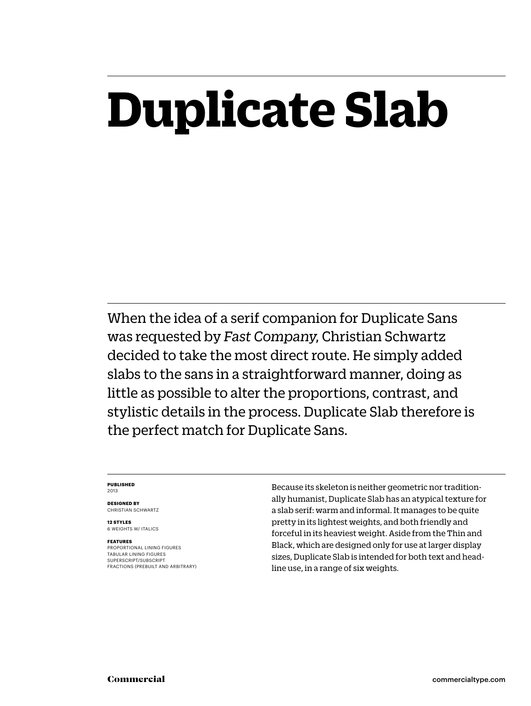## **Duplicate Slab**

When the idea of a serif companion for Duplicate Sans was requested by *Fast Company*, Christian Schwartz decided to take the most direct route. He simply added slabs to the sans in a straightforward manner, doing as little as possible to alter the proportions, contrast, and stylistic details in the process. Duplicate Slab therefore is the perfect match for Duplicate Sans.

### **PUBLISHED** 2013

**DESIGNED BY** CHRISTIAN SCHWARTZ

**12 STYLES** 6 WEIGHTS W/ ITALICS

### **FEATURES**

PROPORTIONAL LINING FIGURES TABULAR LINING FIGURES SUPERSCRIPT/SUBSCRIPT FRACTIONS (PREBUILT AND ARBITRARY) Because its skeleton is neither geometric nor traditionally humanist, Duplicate Slab has an atypical texture for a slab serif: warm and informal. It manages to be quite pretty in its lightest weights, and both friendly and forceful in its heaviest weight. Aside from the Thin and Black, which are designed only for use at larger display sizes, Duplicate Slab is intended for both text and headline use, in a range of six weights.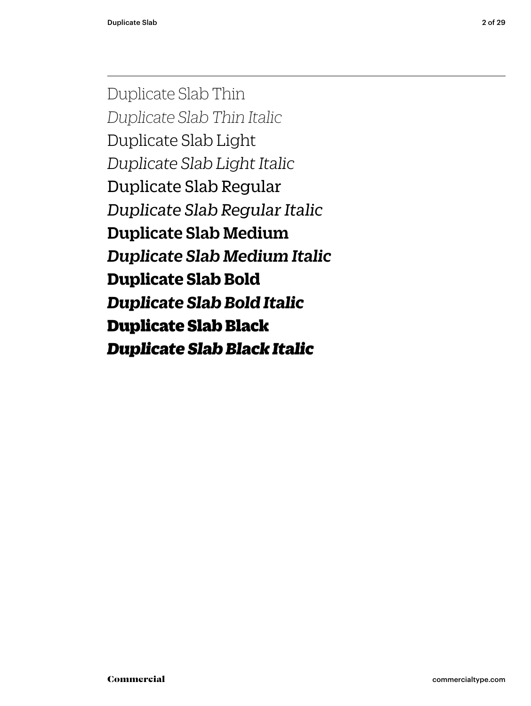Duplicate Slab Thin *Duplicate Slab Thin Italic* Duplicate Slab Light *Duplicate Slab Light Italic* Duplicate Slab Regular *Duplicate Slab Regular Italic* Duplicate Slab Medium *Duplicate Slab Medium Italic* **Duplicate Slab Bold** *Duplicate Slab Bold Italic* Duplicate Slab Black *Duplicate Slab Black Italic*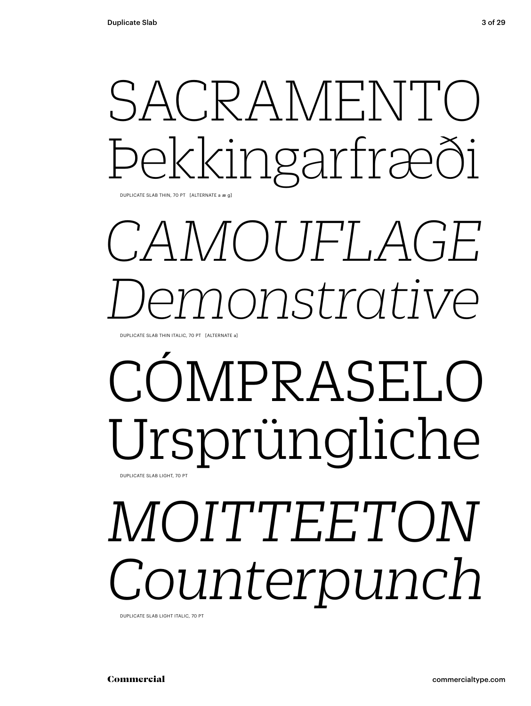## SACRAMENT ekkingarfræði

DUPLICATE SLAB THIN, 70 PT [ALTERNATE a æ g]

## CAMOUFLAGE onstrative

DUPLICATE SLAB THIN ITALIC, 70 PT [ALTERNATE a]

### COMPRASELO Ursprüngliche DUPLICATE SLAB LIGHT, 70 PT

## MOITTEETON ounterpunch

DUPLICATE SLAB LIGHT ITALIC. 70 PT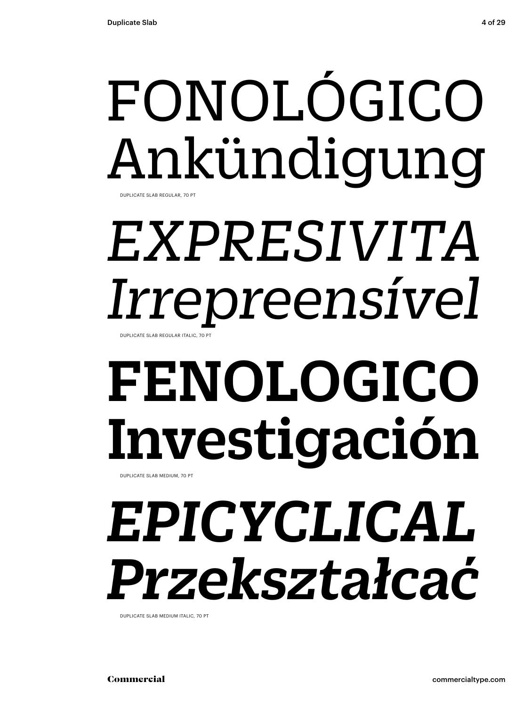# FONOLÓGICO Ankündigung

DUPLICATE SLAB REGULAR, 70 PT

### *EXPRESIVITA Irrepreensível* DUPLICATE SLAB REGULAR ITALIC, 70 PT

# FENOLOGICO Investigación

DUPLICATE SLAB MEDIUM, 70 PT

## *EPICYCLICAL Przekształcać*

DUPLICATE SLAB MEDIUM ITALIC, 70 PT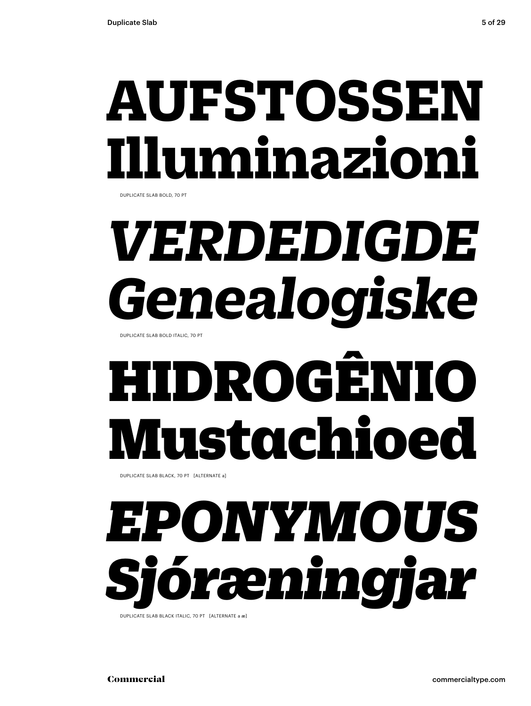## **AUFSTOSSEI Illuminazioni**

DUPLICATE SLAB BOLD, 70 PT

# *VERDEDIGDE Genealogiske*

DUPLICATE SLAB BOLD ITALIC, 70 PT

# HIDROGÊNIO Mustachioed

DUPLICATE SLAB BLACK, 70 PT [ALTERNATE a]

## *EPONYMOUS Sjóræningjar*

DUPLICATE SLAB BLACK ITALIC, 70 PT [ALTERNATE a æ]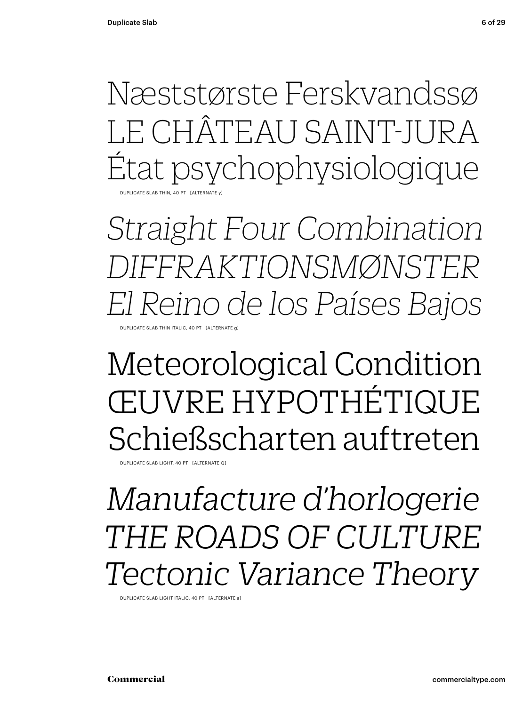Næststørste Ferskvandssø LE CHÂTEAU SAINT-JURA État psychophysiologique DUPLICATE SLAB THIN, 40 PT [ALTERNATE y]

*Straight Four Combination DIFFRAKTIONSMØNSTER El Reino de los Países Bajos* DUPLICATE SLAB THIN ITALIC, 40 PT. [ALTERNATE

### Meteorological Condition ŒUVRE HYPOTHÉTIQUE Schießscharten auftreten

DUPLICATE SLAB LIGHT, 40 PT [ALTERNATE Q]

### *Manufacture d'horlogerie THE ROADS OF CULTURE Tectonic Variance Theory*

DUPLICATE SLAB LIGHT ITALIC, 40 PT [ALTERNATE a]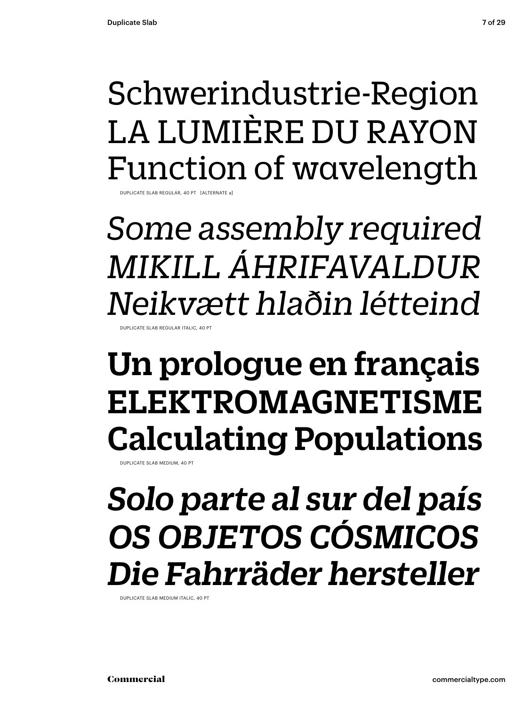### Schwerindustrie-Region LA LUMIÈRE DU RAYON Function of wavelength

DUPLICATE SLAB REGULAR, 40 PT [ALTERNATE a]

Some assembly required MIKILL ÁHRIFAVALDUR Neikvætt hlaðin létteind LICATE SLAB REGULAR ITALIC 40 P

### Un prologue en français ELEKTROMAGNETISME **Calculating Populations**

DUPLICATE SLAB MEDIUM 40 P

### Solo parte al sur del país OS OBJETOS CÓSMICOS Die Fahrräder hersteller

DUPLICATE SLAB MEDIUM ITALIC, 40 PT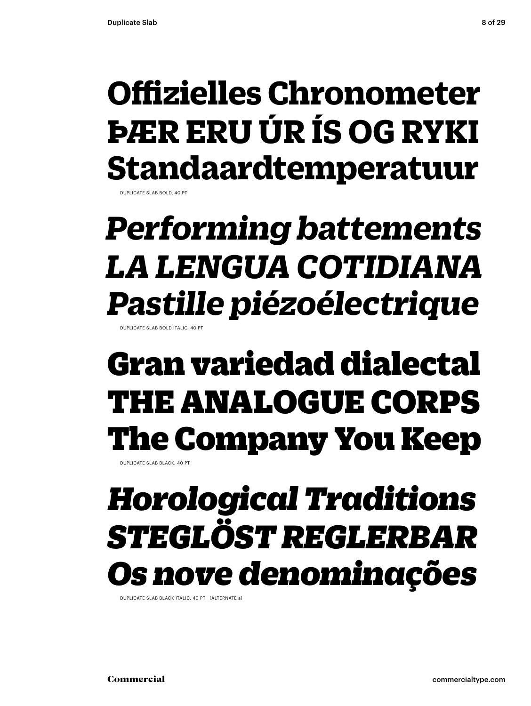### **Offizielles Chronometer ÞÆR ERU ÚR ÍS OG RYKI Standaardtemperatuur**

DUPLICATE SLAB BOLD, 40 PT

### **Performing battements LA LENGUA COTIDIANA** *Pastille piézoélectrique*

### Gran variedad dialectal **THE ANALOGUE CORPS The Company You Keep**

DUPLICATE SLAB BLACK 40 PT

### **Horological Traditions** STEGLÖST REGLERBAR s nove denominações

DUPLICATE SLAB BLACK ITALIC, 40 PT [ALTERNATE a]

Commercial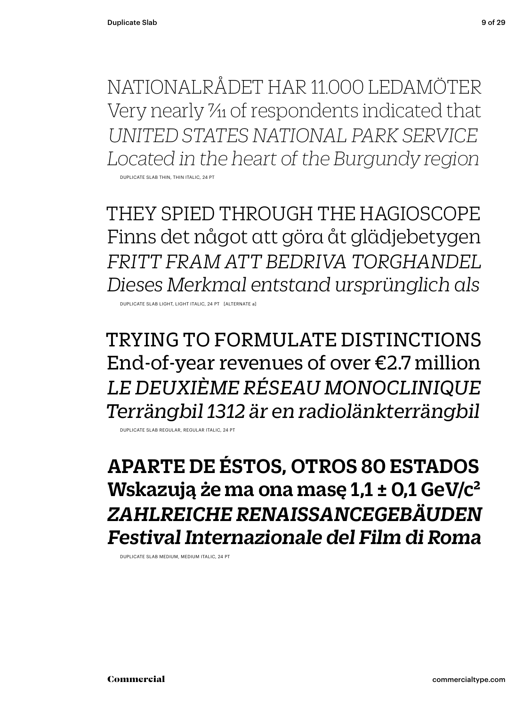NATIONALRÅDET HAR 11.000 LEDAMÖTER Very nearly  $\frac{\gamma_1}{\gamma_1}$  of respondents indicated that UNITED STATES NATIONAL PARK SERVICE Located in the heart of the Burgundy region

DUPLICATE SLAB THIN, THIN ITALI

THEY SPIED THROUGH THE HAGIOSCOPE Finns det något att göra åt glädjebetygen FRITT FRAM ATT BEDRIVA TORGHANDEL Dieses Merkmal entstand ursprünglich als

DUPLICATE SLAB LIGHT, LIGHT ITALIC, 24 PT [ALTERNATE a]

**TRYING TO FORMULATE DISTINCTIONS** End-of-year revenues of over  $E2.7$  million LE DEUXIÈME RÉSEAU MONOCLINIQUE Terrängbil 1312 är en radiolänkterrängbil

DUPLICATE SLAB REGULAR, REGULAR ITALIC, 24 PT

**APARTE DE ÉSTOS, OTROS 80 ESTADOS** Wskazują że ma ona masę 1,1 ± 0,1 GeV/c<sup>2</sup> ZAHLREICHE RENAISSANCEGEBÄUDEN Festival Internazionale del Film di Roma

DUPLICATE SLAB MEDIUM, MEDIUM ITALIC, 24 PT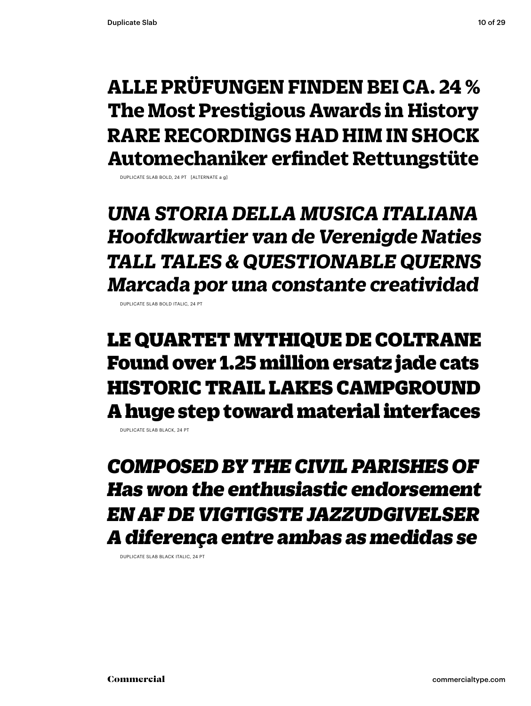### **ALLE PRÜFUNGEN FINDEN BEI CA. 24 % The Most Prestigious Awards in History RARE RECORDINGS HAD HIM IN SHOCK Automechaniker erfindet Rettungstüte**

DUPLICATE SLAB BOLD, 24 PT [ALTERNATE a g]

*UNA STORIA DELLA MUSICA ITALIANA Hoofdkwartier van de Verenigde Naties TALL TALES & QUESTIONABLE QUERNS Marcada por una constante creatividad*

DUPLICATE SLAB BOLD ITALIC, 24 PT

LE QUARTET MYTHIQUE DE COLTRANE Found over 1.25 million ersatz jade cats HISTORIC TRAIL LAKES CAMPGROUND A huge step toward material interfaces

DUPLICATE SLAB BLACK, 24 PT

*COMPOSED BY THE CIVIL PARISHES OF Has won the enthusiastic endorsement EN AF DE VIGTIGSTE JAZZUDGIVELSER A diferença entre ambas as medidas se*

DUPLICATE SLAB BLACK ITALIC, 24 PT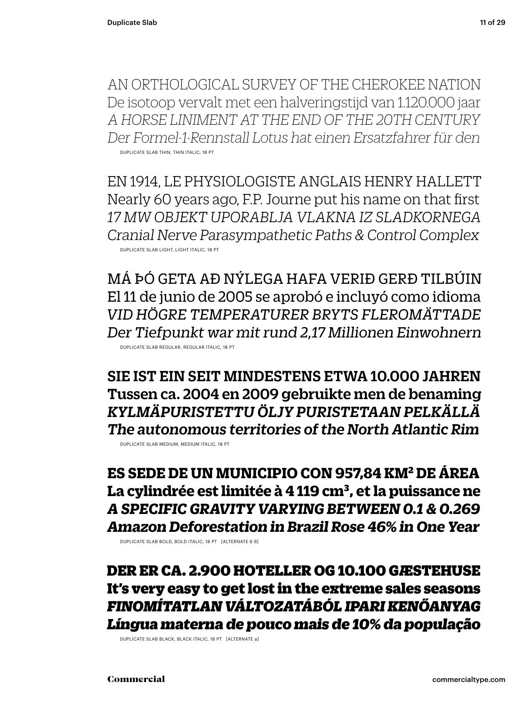AN ORTHOLOGICAL SURVEY OF THE CHEROKEE NATION De isotoop vervalt met een halveringstijd van 1.120.000 jaar A HORSE LINIMENT AT THE END OF THE 20TH CENTURY Der Formel-1-Rennstall Lotus hat einen Ersatzfahrer für den DUPLICATE SLAB THIN, THIN ITALIC, 18 PT

EN 1914, LE PHYSIOLOGISTE ANGLAIS HENRY HALLETT Nearly 60 years ago, F.P. Journe put his name on that first 17 MW OBJEKT UPORABLJA VLAKNA IZ SLADKORNEGA Cranial Nerve Parasympathetic Paths & Control Complex DUPLICATE SLAB LIGHT, LIGHT ITALIC, 18 PT

MÁ ÞÓ GETA AÐ NÝLEGA HAFA VERIÐ GERÐ TILBÚIN El 11 de junio de 2005 se aprobó e incluyó como idioma VID HÖGRE TEMPERATURER BRYTS FLEROMÄTTADE Der Tiefpunkt war mit rund 2.17 Millionen Einwohnern DUPLICATE SLAB REGULAR, REGULAR ITALIC, 18 PT

SIE IST EIN SEIT MINDESTENS ETWA 10.000 JAHREN Tussen ca. 2004 en 2009 gebruikte men de benaming KYLMÄPURISTETTU ÖLJY PURISTETAAN PELKÄLLÄ The autonomous territories of the North Atlantic Rim DUPLICATE SLAB MEDIUM, MEDIUM ITALIC, 18 PT

ES SEDE DE UN MUNICIPIO CON 957.84 KM<sup>2</sup> DE ÁREA La cylindrée est limitée à 4 119 cm<sup>3</sup>, et la puissance ne A SPECIFIC GRAVITY VARYING BETWEEN 0.1 & 0.269

Amazon Deforestation in Brazil Rose 46% in One Year

DUPLICATE SLAB BOLD, BOLD ITALIC, 18 PT [ALTERNATE 6 9]

DER ER CA. 2.900 HOTELLER OG 10.100 GÆSTEHUSE It's very easy to get lost in the extreme sales seasons FINOMÍTATLAN VÁLTOZATÁBÓL IPARI KENŐANYAG Língua materna de pouco mais de 10% da população

DUPLICATE SLAB BLACK, BLACK ITALIC, 18 PT [ALTERNATE a]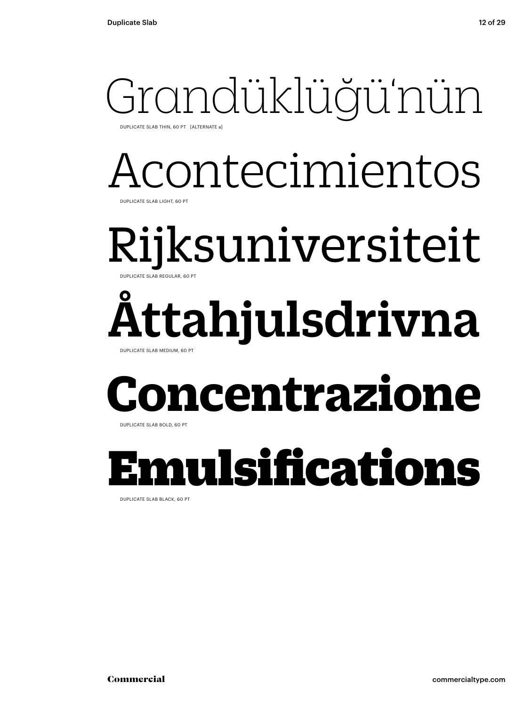## Grandüklüğü'nün

DUPLICATE SLAB THIN, 60 PT [ALTERNATE a]

### Acontecimientos DUPLICATE SLAB LIGHT, 60 PT

### Rijksuniversiteit DUPLICATE SLAB REGULAR, 60 PT

### Åttahjulsdrivna DUPLICATE SLAB MEDIUM, 60 PT

## **ncentrazione**

DUPLICATE SLAB BOLD, 60 PT

### Emulsifications

DUPLICATE SLAB BLACK, 60 PT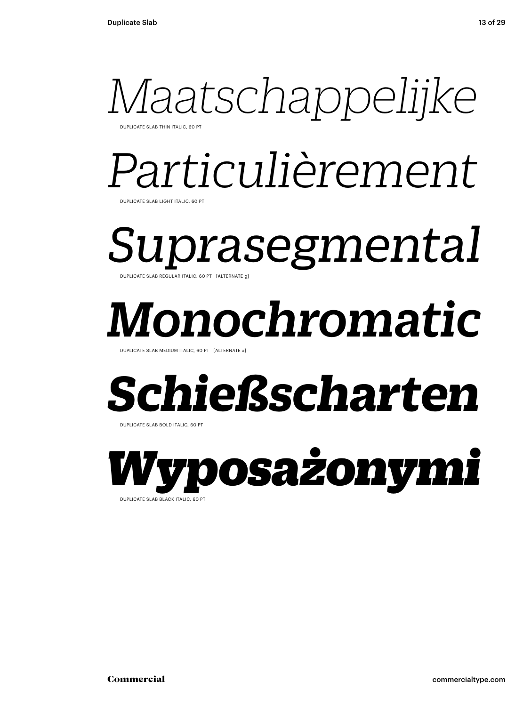

DUPLICATE SLAB THIN ITALIC, 60 PT

## *Particulièrement*

DUPLICATE SLAB LIGHT ITALIC, 60 PT

*Suprasegmental*  DUPLICATE SLAB REGULAR ITALIC, 60 PT [ALTERNATE g]

## *Monochromatic*

DUPLICATE SLAB MEDIUM ITALIC, 60 PT [ALTERNATE a

### *Schießscharten*

DUPLICATE SLAB BOLD ITALIC, 60 PT

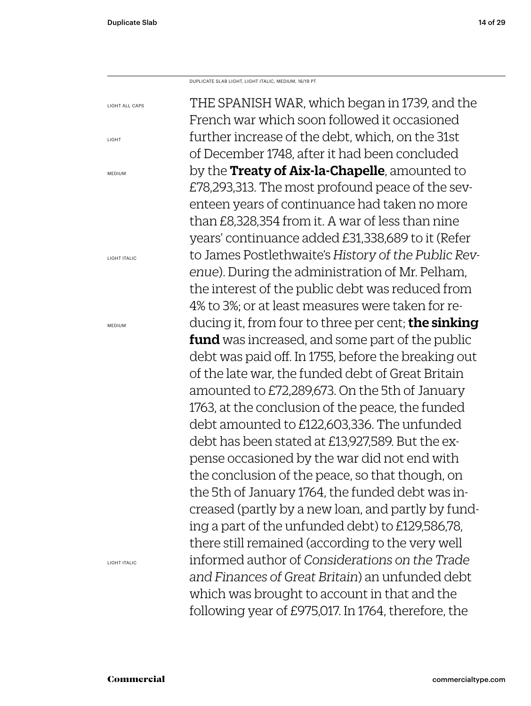LIGHT

MEDIUM

MEDIUM

THE SPANISH WAR, which began in 1739, and the French war which soon followed it occasioned further increase of the debt, which, on the 31st of December 1748, after it had been concluded by the Treaty of Aix-la-Chapelle, amounted to £78,293,313. The most profound peace of the seventeen years of continuance had taken no more than £8,328,354 from it. A war of less than nine years' continuance added £31,338,689 to it (Refer to James Postlethwaite's *History of the Public Revenue*). During the administration of Mr. Pelham, the interest of the public debt was reduced from 4% to 3%; or at least measures were taken for reducing it, from four to three per cent; **the sinking fund** was increased, and some part of the public debt was paid off. In 1755, before the breaking out of the late war, the funded debt of Great Britain amounted to £72,289,673. On the 5th of January 1763, at the conclusion of the peace, the funded debt amounted to £122,603,336. The unfunded debt has been stated at £13,927,589. But the expense occasioned by the war did not end with the conclusion of the peace, so that though, on the 5th of January 1764, the funded debt was increased (partly by a new loan, and partly by funding a part of the unfunded debt) to £129,586,78, there still remained (according to the very well informed author of *Considerations on the Trade and Finances of Great Britain*) an unfunded debt which was brought to account in that and the following year of £975,017. In 1764, therefore, the LIGHT ALL CAPS LIGHT ITALIC DUPLICATE SLAB LIGHT, LIGHT ITALIC, MEDIUM, 16/19 PT

LIGHT ITALIC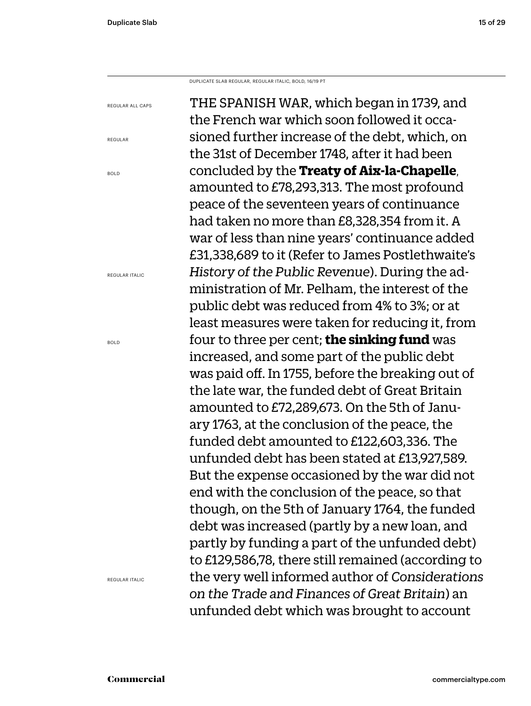DUPLICATE SLAB REGULAR, REGULAR ITALIC, BOLD, 16/19 PT

REGULAR ALL CAPS

REGULAR

BOLD

REGULAR ITALIC

BOLD

THE SPANISH WAR, which began in 1739, and the French war which soon followed it occasioned further increase of the debt, which, on the 31st of December 1748, after it had been concluded by the **Treaty of Aix-la-Chapelle**, amounted to £78,293,313. The most profound peace of the seventeen years of continuance had taken no more than £8,328,354 from it. A war of less than nine years' continuance added £31,338,689 to it (Refer to James Postlethwaite's *History of the Public Revenue*). During the administration of Mr. Pelham, the interest of the public debt was reduced from 4% to 3%; or at least measures were taken for reducing it, from four to three per cent; **the sinking fund** was increased, and some part of the public debt was paid off. In 1755, before the breaking out of the late war, the funded debt of Great Britain amounted to £72,289,673. On the 5th of January 1763, at the conclusion of the peace, the funded debt amounted to £122,603,336. The unfunded debt has been stated at £13,927,589. But the expense occasioned by the war did not end with the conclusion of the peace, so that

> though, on the 5th of January 1764, the funded debt was increased (partly by a new loan, and

partly by funding a part of the unfunded debt) to £129,586,78, there still remained (according to the very well informed author of *Considerations* 

*on the Trade and Finances of Great Britain*) an unfunded debt which was brought to account

REGULAR ITALIC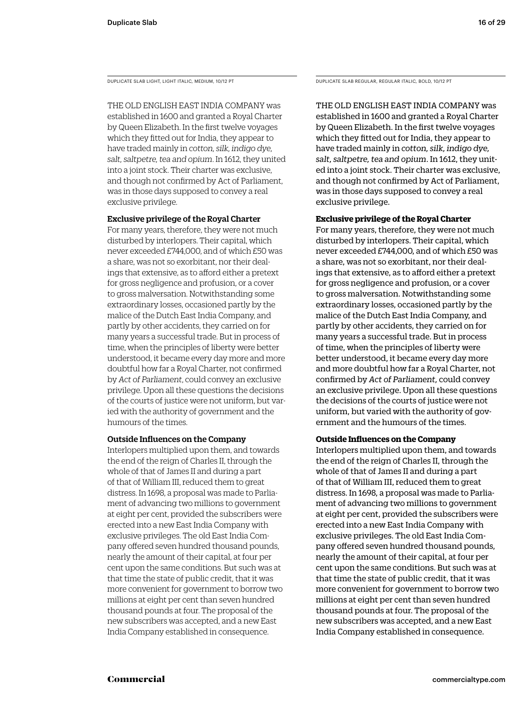DUPLICATE SLAB LIGHT, LIGHT ITALIC, MEDIUM, 10/12 PT

THE OLD ENGLISH EAST INDIA COMPANY was established in 1600 and granted a Royal Charter by Queen Elizabeth. In the first twelve voyages which they fitted out for India, they appear to have traded mainly in *cotton, silk, indigo dye, salt, saltpetre, tea and opium*. In 1612, they united into a joint stock. Their charter was exclusive, and though not confirmed by Act of Parliament, was in those days supposed to convey a real exclusive privilege.

### Exclusive privilege of the Royal Charter

For many years, therefore, they were not much disturbed by interlopers. Their capital, which never exceeded £744,000, and of which £50 was a share, was not so exorbitant, nor their dealings that extensive, as to afford either a pretext for gross negligence and profusion, or a cover to gross malversation. Notwithstanding some extraordinary losses, occasioned partly by the malice of the Dutch East India Company, and partly by other accidents, they carried on for many years a successful trade. But in process of time, when the principles of liberty were better understood, it became every day more and more doubtful how far a Royal Charter, not confirmed by *Act of Parliament*, could convey an exclusive privilege. Upon all these questions the decisions of the courts of justice were not uniform, but varied with the authority of government and the humours of the times.

### Outside Influences on the Company

Interlopers multiplied upon them, and towards the end of the reign of Charles II, through the whole of that of James II and during a part of that of William III, reduced them to great distress. In 1698, a proposal was made to Parliament of advancing two millions to government at eight per cent, provided the subscribers were erected into a new East India Company with exclusive privileges. The old East India Company offered seven hundred thousand pounds, nearly the amount of their capital, at four per cent upon the same conditions. But such was at that time the state of public credit, that it was more convenient for government to borrow two millions at eight per cent than seven hundred thousand pounds at four. The proposal of the new subscribers was accepted, and a new East India Company established in consequence.

DUPLICATE SLAB REGULAR, REGULAR ITALIC, BOLD, 10/12 PT

THE OLD ENGLISH EAST INDIA COMPANY was established in 1600 and granted a Royal Charter by Queen Elizabeth. In the first twelve voyages which they fitted out for India, they appear to have traded mainly in *cotton, silk, indigo dye, salt, saltpetre, tea and opium*. In 1612, they united into a joint stock. Their charter was exclusive, and though not confirmed by Act of Parliament, was in those days supposed to convey a real exclusive privilege.

### **Exclusive privilege of the Royal Charter**

For many years, therefore, they were not much disturbed by interlopers. Their capital, which never exceeded £744,000, and of which £50 was a share, was not so exorbitant, nor their dealings that extensive, as to afford either a pretext for gross negligence and profusion, or a cover to gross malversation. Notwithstanding some extraordinary losses, occasioned partly by the malice of the Dutch East India Company, and partly by other accidents, they carried on for many years a successful trade. But in process of time, when the principles of liberty were better understood, it became every day more and more doubtful how far a Royal Charter, not confirmed by *Act of Parliament,* could convey an exclusive privilege. Upon all these questions the decisions of the courts of justice were not uniform, but varied with the authority of government and the humours of the times.

### **Outside Influences on the Company**

Interlopers multiplied upon them, and towards the end of the reign of Charles II, through the whole of that of James II and during a part of that of William III, reduced them to great distress. In 1698, a proposal was made to Parliament of advancing two millions to government at eight per cent, provided the subscribers were erected into a new East India Company with exclusive privileges. The old East India Company offered seven hundred thousand pounds, nearly the amount of their capital, at four per cent upon the same conditions. But such was at that time the state of public credit, that it was more convenient for government to borrow two millions at eight per cent than seven hundred thousand pounds at four. The proposal of the new subscribers was accepted, and a new East India Company established in consequence.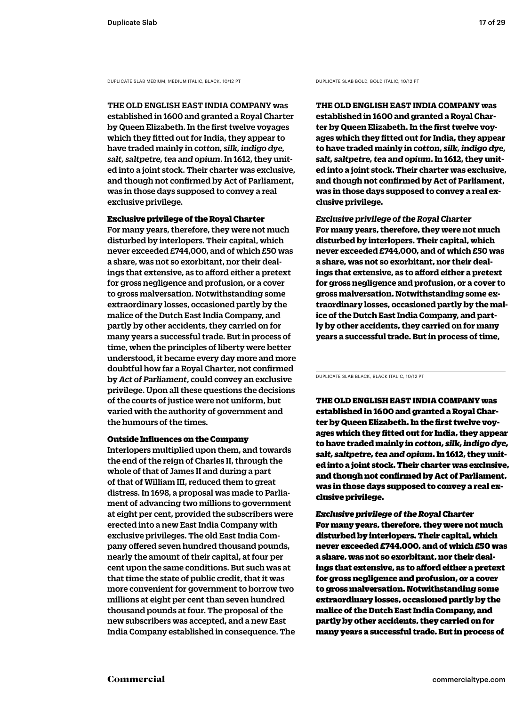DUPLICATE SLAB MEDIUM, MEDIUM ITALIC, BLACK, 10/12 PT DUPLICATE SLAB BOLD, BOLD ITALIC, 10/12 PT

THE OLD ENGLISH EAST INDIA COMPANY was established in 1600 and granted a Royal Charter by Queen Elizabeth. In the first twelve voyages which they fitted out for India, they appear to have traded mainly in *cotton, silk, indigo dye, salt, saltpetre, tea and opium*. In 1612, they united into a joint stock. Their charter was exclusive, and though not confirmed by Act of Parliament, was in those days supposed to convey a real exclusive privilege.

Exclusive privilege of the Royal Charter For many years, therefore, they were not much disturbed by interlopers. Their capital, which never exceeded £744,000, and of which £50 was a share, was not so exorbitant, nor their dealings that extensive, as to afford either a pretext for gross negligence and profusion, or a cover to gross malversation. Notwithstanding some extraordinary losses, occasioned partly by the malice of the Dutch East India Company, and partly by other accidents, they carried on for many years a successful trade. But in process of time, when the principles of liberty were better understood, it became every day more and more doubtful how far a Royal Charter, not confirmed by *Act of Parliament*, could convey an exclusive privilege. Upon all these questions the decisions of the courts of justice were not uniform, but varied with the authority of government and

### Outside Influences on the Company

the humours of the times.

Interlopers multiplied upon them, and towards the end of the reign of Charles II, through the whole of that of James II and during a part of that of William III, reduced them to great distress. In 1698, a proposal was made to Parliament of advancing two millions to government at eight per cent, provided the subscribers were erected into a new East India Company with exclusive privileges. The old East India Company offered seven hundred thousand pounds, nearly the amount of their capital, at four per cent upon the same conditions. But such was at that time the state of public credit, that it was more convenient for government to borrow two millions at eight per cent than seven hundred thousand pounds at four. The proposal of the new subscribers was accepted, and a new East India Company established in consequence. The

**THE OLD ENGLISH EAST INDIA COMPANY was established in 1600 and granted a Royal Charter by Queen Elizabeth. In the first twelve voyages which they fitted out for India, they appear to have traded mainly in** *cotton, silk, indigo dye, salt, saltpetre, tea and opium***. In 1612, they united into a joint stock. Their charter was exclusive, and though not confirmed by Act of Parliament, was in those days supposed to convey a real exclusive privilege.** 

*Exclusive privilege of the Royal Charter* **For many years, therefore, they were not much disturbed by interlopers. Their capital, which never exceeded £744,000, and of which £50 was a share, was not so exorbitant, nor their dealings that extensive, as to afford either a pretext for gross negligence and profusion, or a cover to gross malversation. Notwithstanding some extraordinary losses, occasioned partly by the malice of the Dutch East India Company, and partly by other accidents, they carried on for many years a successful trade. But in process of time,** 

DUPLICATE SLAB BLACK, BLACK ITALIC, 10/12 PT

THE OLD ENGLISH EAST INDIA COMPANY was established in 1600 and granted a Royal Charter by Queen Elizabeth. In the first twelve voyages which they fitted out for India, they appear to have traded mainly in *cotton, silk, indigo dye, salt, saltpetre, tea and opium*. In 1612, they united into a joint stock. Their charter was exclusive, and though not confirmed by Act of Parliament, was in those days supposed to convey a real exclusive privilege.

*Exclusive privilege of the Royal Charter* For many years, therefore, they were not much disturbed by interlopers. Their capital, which never exceeded £744,000, and of which £50 was a share, was not so exorbitant, nor their dealings that extensive, as to afford either a pretext for gross negligence and profusion, or a cover to gross malversation. Notwithstanding some extraordinary losses, occasioned partly by the malice of the Dutch East India Company, and partly by other accidents, they carried on for many years a successful trade. But in process of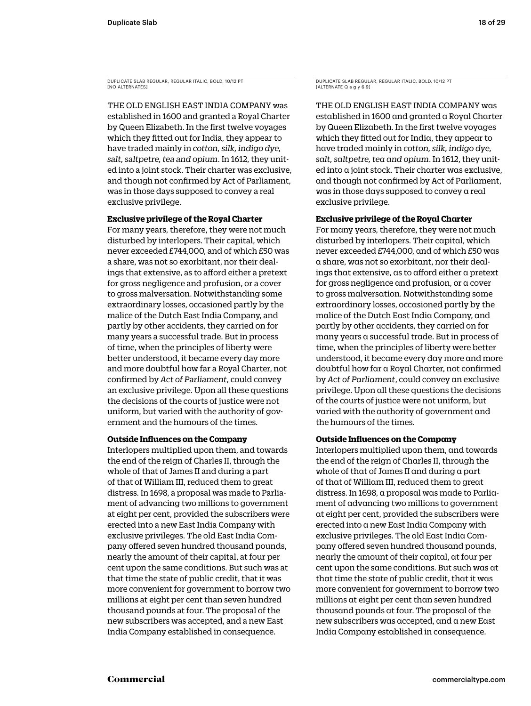THE OLD ENGLISH EAST INDIA COMPANY was established in 1600 and granted a Royal Charter by Queen Elizabeth. In the first twelve voyages which they fitted out for India, they appear to have traded mainly in *cotton, silk, indigo dye, salt, saltpetre, tea and opium*. In 1612, they united into a joint stock. Their charter was exclusive, and though not confirmed by Act of Parliament, was in those days supposed to convey a real exclusive privilege.

### **Exclusive privilege of the Royal Charter**

For many years, therefore, they were not much disturbed by interlopers. Their capital, which never exceeded £744,000, and of which £50 was a share, was not so exorbitant, nor their dealings that extensive, as to afford either a pretext for gross negligence and profusion, or a cover to gross malversation. Notwithstanding some extraordinary losses, occasioned partly by the malice of the Dutch East India Company, and partly by other accidents, they carried on for many years a successful trade. But in process of time, when the principles of liberty were better understood, it became every day more and more doubtful how far a Royal Charter, not confirmed by *Act of Parliament*, could convey an exclusive privilege. Upon all these questions the decisions of the courts of justice were not uniform, but varied with the authority of government and the humours of the times.

### **Outside Influences on the Company**

Interlopers multiplied upon them, and towards the end of the reign of Charles II, through the whole of that of James II and during a part of that of William III, reduced them to great distress. In 1698, a proposal was made to Parliament of advancing two millions to government at eight per cent, provided the subscribers were erected into a new East India Company with exclusive privileges. The old East India Company offered seven hundred thousand pounds, nearly the amount of their capital, at four per cent upon the same conditions. But such was at that time the state of public credit, that it was more convenient for government to borrow two millions at eight per cent than seven hundred thousand pounds at four. The proposal of the new subscribers was accepted, and a new East India Company established in consequence.

DUPLICATE SLAB REGULAR, REGULAR ITALIC, BOLD, 10/12 PT [ALTERNATE Q a g y 6 9]

THE OLD ENGLISH EAST INDIA COMPANY was established in 1600 and granted a Royal Charter by Queen Elizabeth. In the first twelve voyages which they fitted out for India, they appear to have traded mainly in *cotton, silk, indigo dye, salt, saltpetre, tea and opium*. In 1612, they united into a joint stock. Their charter was exclusive, and though not confirmed by Act of Parliament, was in those days supposed to convey a real exclusive privilege.

### **Exclusive privilege of the Royal Charter**

For many years, therefore, they were not much disturbed by interlopers. Their capital, which never exceeded £744,000, and of which £50 was a share, was not so exorbitant, nor their dealings that extensive, as to afford either a pretext for gross negligence and profusion, or a cover to gross malversation. Notwithstanding some extraordinary losses, occasioned partly by the malice of the Dutch East India Company, and partly by other accidents, they carried on for many years a successful trade. But in process of time, when the principles of liberty were better understood, it became every day more and more doubtful how far a Royal Charter, not confirmed by *Act of Parliament*, could convey an exclusive privilege. Upon all these questions the decisions of the courts of justice were not uniform, but varied with the authority of government and the humours of the times.

### **Outside Influences on the Company**

Interlopers multiplied upon them, and towards the end of the reign of Charles II, through the whole of that of James II and during a part of that of William III, reduced them to great distress. In 1698, a proposal was made to Parliament of advancing two millions to government at eight per cent, provided the subscribers were erected into a new East India Company with exclusive privileges. The old East India Company offered seven hundred thousand pounds, nearly the amount of their capital, at four per cent upon the same conditions. But such was at that time the state of public credit, that it was more convenient for government to borrow two millions at eight per cent than seven hundred thousand pounds at four. The proposal of the new subscribers was accepted, and a new East India Company established in consequence.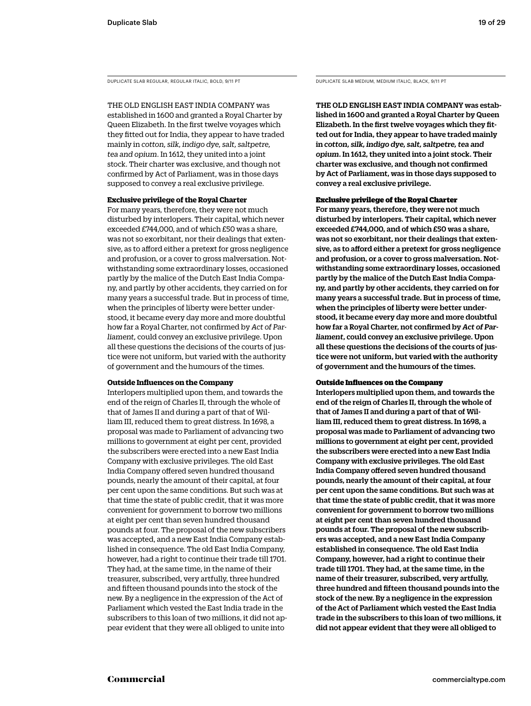DUPLICATE SLAB REGULAR, REGULAR ITALIC, BOLD, 9/11 PT DUPLICATE SLAB MEDIUM, MEDIUM ITALIC, BLACK, 9/11 PT

THE OLD ENGLISH EAST INDIA COMPANY was established in 1600 and granted a Royal Charter by Queen Elizabeth. In the first twelve voyages which they fitted out for India, they appear to have traded mainly in *cotton, silk, indigo dye, salt, saltpetre, tea and opium*. In 1612, they united into a joint stock. Their charter was exclusive, and though not confirmed by Act of Parliament, was in those days supposed to convey a real exclusive privilege.

### **Exclusive privilege of the Royal Charter**

For many years, therefore, they were not much disturbed by interlopers. Their capital, which never exceeded £744,000, and of which £50 was a share, was not so exorbitant, nor their dealings that extensive, as to afford either a pretext for gross negligence and profusion, or a cover to gross malversation. Notwithstanding some extraordinary losses, occasioned partly by the malice of the Dutch East India Company, and partly by other accidents, they carried on for many years a successful trade. But in process of time, when the principles of liberty were better understood, it became every day more and more doubtful how far a Royal Charter, not confirmed by *Act of Parliament,* could convey an exclusive privilege. Upon all these questions the decisions of the courts of justice were not uniform, but varied with the authority of government and the humours of the times.

### **Outside Influences on the Company**

Interlopers multiplied upon them, and towards the end of the reign of Charles II, through the whole of that of James II and during a part of that of William III, reduced them to great distress. In 1698, a proposal was made to Parliament of advancing two millions to government at eight per cent, provided the subscribers were erected into a new East India Company with exclusive privileges. The old East India Company offered seven hundred thousand pounds, nearly the amount of their capital, at four per cent upon the same conditions. But such was at that time the state of public credit, that it was more convenient for government to borrow two millions at eight per cent than seven hundred thousand pounds at four. The proposal of the new subscribers was accepted, and a new East India Company established in consequence. The old East India Company, however, had a right to continue their trade till 1701. They had, at the same time, in the name of their treasurer, subscribed, very artfully, three hundred and fifteen thousand pounds into the stock of the new. By a negligence in the expression of the Act of Parliament which vested the East India trade in the subscribers to this loan of two millions, it did not appear evident that they were all obliged to unite into

THE OLD ENGLISH EAST INDIA COMPANY was established in 1600 and granted a Royal Charter by Queen Elizabeth. In the first twelve voyages which they fitted out for India, they appear to have traded mainly in *cotton, silk, indigo dye, salt, saltpetre, tea and opium*. In 1612, they united into a joint stock. Their charter was exclusive, and though not confirmed by Act of Parliament, was in those days supposed to convey a real exclusive privilege.

### Exclusive privilege of the Royal Charter

For many years, therefore, they were not much disturbed by interlopers. Their capital, which never exceeded £744,000, and of which £50 was a share, was not so exorbitant, nor their dealings that extensive, as to afford either a pretext for gross negligence and profusion, or a cover to gross malversation. Notwithstanding some extraordinary losses, occasioned partly by the malice of the Dutch East India Company, and partly by other accidents, they carried on for many years a successful trade. But in process of time, when the principles of liberty were better understood, it became every day more and more doubtful how far a Royal Charter, not confirmed by *Act of Parliament*, could convey an exclusive privilege. Upon all these questions the decisions of the courts of justice were not uniform, but varied with the authority of government and the humours of the times.

### Outside Influences on the Company

Interlopers multiplied upon them, and towards the end of the reign of Charles II, through the whole of that of James II and during a part of that of William III, reduced them to great distress. In 1698, a proposal was made to Parliament of advancing two millions to government at eight per cent, provided the subscribers were erected into a new East India Company with exclusive privileges. The old East India Company offered seven hundred thousand pounds, nearly the amount of their capital, at four per cent upon the same conditions. But such was at that time the state of public credit, that it was more convenient for government to borrow two millions at eight per cent than seven hundred thousand pounds at four. The proposal of the new subscribers was accepted, and a new East India Company established in consequence. The old East India Company, however, had a right to continue their trade till 1701. They had, at the same time, in the name of their treasurer, subscribed, very artfully, three hundred and fifteen thousand pounds into the stock of the new. By a negligence in the expression of the Act of Parliament which vested the East India trade in the subscribers to this loan of two millions, it did not appear evident that they were all obliged to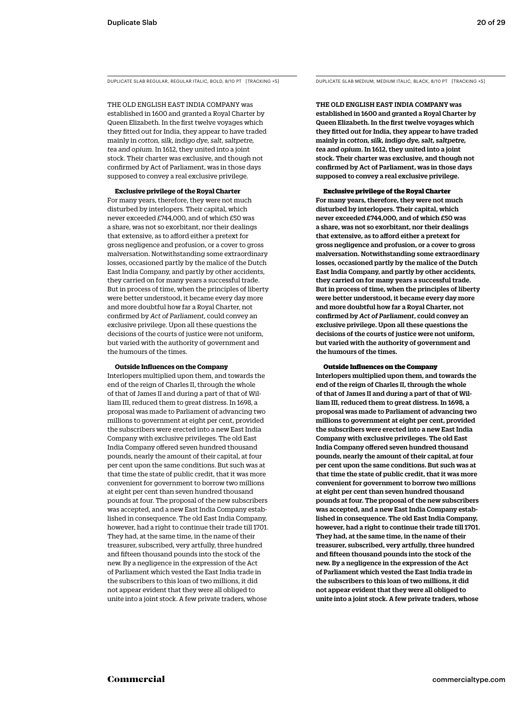THE OLD ENGLISH EAST INDIA COMPANY was established in 1600 and granted a Royal Charter by Queen Elizabeth. In the first twelve voyages which they fitted out for India, they appear to have traded mainly in *cotton, silk, indigo dye, salt, saltpetre, tea and opium*. In 1612, they united into a joint stock. Their charter was exclusive, and though not confirmed by Act of Parliament, was in those days supposed to convey a real exclusive privilege.

### **Exclusive privilege of the Royal Charter**

For many years, therefore, they were not much disturbed by interlopers. Their capital, which never exceeded £744,000, and of which £50 was a share, was not so exorbitant, nor their dealings that extensive, as to afford either a pretext for gross negligence and profusion, or a cover to gross malversation. Notwithstanding some extraordinary losses, occasioned partly by the malice of the Dutch East India Company, and partly by other accidents, they carried on for many years a successful trade. But in process of time, when the principles of liberty were better understood, it became every day more and more doubtful how far a Royal Charter, not confirmed by *Act of Parliament,* could convey an exclusive privilege. Upon all these questions the decisions of the courts of justice were not uniform, but varied with the authority of government and the humours of the times.

### **Outside Influences on the Company**

Interlopers multiplied upon them, and towards the end of the reign of Charles II, through the whole of that of James II and during a part of that of William III, reduced them to great distress. In 1698, a proposal was made to Parliament of advancing two millions to government at eight per cent, provided the subscribers were erected into a new East India Company with exclusive privileges. The old East India Company offered seven hundred thousand pounds, nearly the amount of their capital, at four per cent upon the same conditions. But such was at that time the state of public credit, that it was more convenient for government to borrow two millions at eight per cent than seven hundred thousand pounds at four. The proposal of the new subscribers was accepted, and a new East India Company established in consequence. The old East India Company, however, had a right to continue their trade till 1701. They had, at the same time, in the name of their treasurer, subscribed, very artfully, three hundred and fifteen thousand pounds into the stock of the new. By a negligence in the expression of the Act of Parliament which vested the East India trade in the subscribers to this loan of two millions, it did not appear evident that they were all obliged to unite into a joint stock. A few private traders, whose

DUPLICATE SLAB REGULAR, REGULAR ITALIC, BOLD, 8/10 PT [TRACKING +5] DUPLICATE SLAB MEDIUM, MEDIUM ITALIC, BLACK, 8/10 PT [TRACKING +5]

THE OLD ENGLISH EAST INDIA COMPANY was established in 1600 and granted a Royal Charter by Queen Elizabeth. In the first twelve voyages which they fitted out for India, they appear to have traded mainly in *cotton, silk, indigo dye, salt, saltpetre, tea and opium*. In 1612, they united into a joint stock. Their charter was exclusive, and though not confirmed by Act of Parliament, was in those days supposed to convey a real exclusive privilege.

### Exclusive privilege of the Royal Charter

For many years, therefore, they were not much disturbed by interlopers. Their capital, which never exceeded £744,000, and of which £50 was a share, was not so exorbitant, nor their dealings that extensive, as to afford either a pretext for gross negligence and profusion, or a cover to gross malversation. Notwithstanding some extraordinary losses, occasioned partly by the malice of the Dutch East India Company, and partly by other accidents, they carried on for many years a successful trade. But in process of time, when the principles of liberty were better understood, it became every day more and more doubtful how far a Royal Charter, not confirmed by *Act of Parliament*, could convey an exclusive privilege. Upon all these questions the decisions of the courts of justice were not uniform, but varied with the authority of government and the humours of the times.

### Outside Influences on the Company

Interlopers multiplied upon them, and towards the end of the reign of Charles II, through the whole of that of James II and during a part of that of William III, reduced them to great distress. In 1698, a proposal was made to Parliament of advancing two millions to government at eight per cent, provided the subscribers were erected into a new East India Company with exclusive privileges. The old East India Company offered seven hundred thousand pounds, nearly the amount of their capital, at four per cent upon the same conditions. But such was at that time the state of public credit, that it was more convenient for government to borrow two millions at eight per cent than seven hundred thousand pounds at four. The proposal of the new subscribers was accepted, and a new East India Company established in consequence. The old East India Company, however, had a right to continue their trade till 1701. They had, at the same time, in the name of their treasurer, subscribed, very artfully, three hundred and fifteen thousand pounds into the stock of the new. By a negligence in the expression of the Act of Parliament which vested the East India trade in the subscribers to this loan of two millions, it did not appear evident that they were all obliged to unite into a joint stock. A few private traders, whose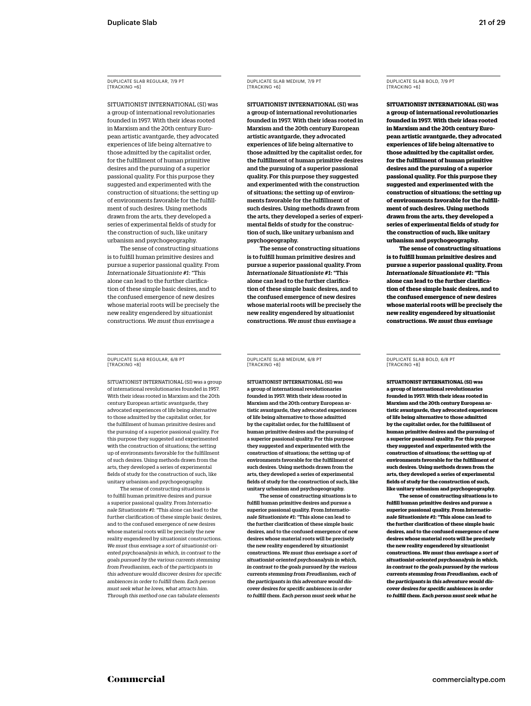DUPLICATE SLAB REGULAR, 7/9 PT [TRACKING +6]

SITUATIONIST INTERNATIONAL (SI) was a group of international revolutionaries founded in 1957. With their ideas rooted in Marxism and the 20th century European artistic avantgarde, they advocated experiences of life being alternative to those admitted by the capitalist order, for the fulfillment of human primitive desires and the pursuing of a superior passional quality. For this purpose they suggested and experimented with the construction of situations; the setting up of environments favorable for the fulfillment of such desires. Using methods drawn from the arts, they developed a series of experimental fields of study for the construction of such, like unitary urbanism and psychogeography.

The sense of constructing situations is to fulfill human primitive desires and pursue a superior passional quality. From *Internationale Situationiste #1*: "This alone can lead to the further clarification of these simple basic desires, and to the confused emergence of new desires whose material roots will be precisely the new reality engendered by situationist constructions. *We must thus envisage a* 

DUPLICATE SLAB REGULAR, 6/8 PT [TRACKING +8]

SITUATIONIST INTERNATIONAL (SI) was a group of international revolutionaries founded in 1957. With their ideas rooted in Marxism and the 20th century European artistic avantgarde, they advocated experiences of life being alternative to those admitted by the capitalist order, for the fulfillment of human primitive desires and the pursuing of a superior passional quality. For this purpose they suggested and experimented with the construction of situations; the setting up of environments favorable for the fulfillment of such desires. Using methods drawn from the arts, they developed a series of experimental fields of study for the construction of such, like unitary urbanism and psychogeography.

The sense of constructing situations is to fulfill human primitive desires and pursue a superior passional quality. From *Internationale Situationiste #1*: "This alone can lead to the further clarification of these simple basic desires, and to the confused emergence of new desires whose material roots will be precisely the new reality engendered by situationist constructions. *We must thus envisage a sort of situationist-oriented psychoanalysis in which, in contrast to the goals pursued by the various currents stemming from Freudianism, each of the participants in this adventure would discover desires for specific ambiences in order to fulfill them. Each person must seek what he loves, what attracts him. Through this method one can tabulate elements* 

DUPLICATE SLAB MEDIUM, 7/9 PT [TRACKING +6]

SITUATIONIST INTERNATIONAL (SI) was a group of international revolutionaries founded in 1957. With their ideas rooted in Marxism and the 20th century European artistic avantgarde, they advocated experiences of life being alternative to those admitted by the capitalist order, for the fulfillment of human primitive desires and the pursuing of a superior passional quality. For this purpose they suggested and experimented with the construction of situations; the setting up of environments favorable for the fulfillment of such desires. Using methods drawn from the arts, they developed a series of experimental fields of study for the construction of such, like unitary urbanism and psychogeography.

The sense of constructing situations is to fulfill human primitive desires and pursue a superior passional quality. From *Internationale Situationiste #1*: "This alone can lead to the further clarification of these simple basic desires, and to the confused emergence of new desires whose material roots will be precisely the new reality engendered by situationist constructions. *We must thus envisage a* 

DUPLICATE SLAB BOLD, 7/9 PT [TRACKING +6]

**SITUATIONIST INTERNATIONAL (SI) was a group of international revolutionaries founded in 1957. With their ideas rooted in Marxism and the 20th century European artistic avantgarde, they advocated experiences of life being alternative to those admitted by the capitalist order, for the fulfillment of human primitive desires and the pursuing of a superior passional quality. For this purpose they suggested and experimented with the construction of situations; the setting up of environments favorable for the fulfillment of such desires. Using methods drawn from the arts, they developed a series of experimental fields of study for the construction of such, like unitary urbanism and psychogeography.**

**The sense of constructing situations is to fulfill human primitive desires and pursue a superior passional quality. From**  *Internationale Situationiste #1***: "This alone can lead to the further clarification of these simple basic desires, and to the confused emergence of new desires whose material roots will be precisely the new reality engendered by situationist constructions.** *We must thus envisage* 

DUPLICATE SLAB MEDIUM, 6/8 PT [TRACKING +8]

SITUATIONIST INTERNATIONAL (SI) was a group of international revolutionaries founded in 1957. With their ideas rooted in Marxism and the 20th century European artistic avantgarde, they advocated experiences of life being alternative to those admitted by the capitalist order, for the fulfillment of human primitive desires and the pursuing of a superior passional quality. For this purpose they suggested and experimented with the construction of situations; the setting up of environments favorable for the fulfillment of such desires. Using methods drawn from the arts, they developed a series of experimental fields of study for the construction of such, like unitary urbanism and psychogeography.

The sense of constructing situations is to fulfill human primitive desires and pursue a superior passional quality. From *Internationale Situationiste #1*: "This alone can lead to the further clarification of these simple basic desires, and to the confused emergence of new desires whose material roots will be precisely the new reality engendered by situationist constructions. *We must thus envisage a sort of situationist-oriented psychoanalysis in which, in contrast to the goals pursued by the various currents stemming from Freudianism, each of the participants in this adventure would discover desires for specific ambiences in order to fulfill them. Each person must seek what he* 

DUPLICATE SLAB BOLD, 6/8 PT [TRACKING +8]

**SITUATIONIST INTERNATIONAL (SI) was a group of international revolutionaries founded in 1957. With their ideas rooted in Marxism and the 20th century European artistic avantgarde, they advocated experiences of life being alternative to those admitted by the capitalist order, for the fulfillment of human primitive desires and the pursuing of a superior passional quality. For this purpose they suggested and experimented with the construction of situations; the setting up of environments favorable for the fulfillment of such desires. Using methods drawn from the arts, they developed a series of experimental fields of study for the construction of such, like unitary urbanism and psychogeography.**

**The sense of constructing situations is to fulfill human primitive desires and pursue a superior passional quality. From** *Internationale Situationiste #1***: "This alone can lead to the further clarification of these simple basic desires, and to the confused emergence of new desires whose material roots will be precisely the new reality engendered by situationist constructions.** *We must thus envisage a sort of situationist-oriented psychoanalysis in which, in contrast to the goals pursued by the various currents stemming from Freudianism, each of the participants in this adventure would discover desires for specific ambiences in order to fulfill them. Each person must seek what he*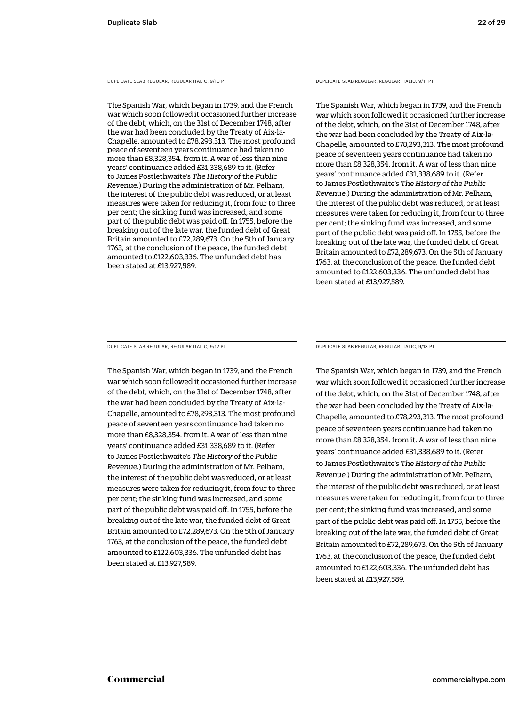DUPLICATE SLAB REGULAR, REGULAR ITALIC, 9/10 PT

The Spanish War, which began in 1739, and the French war which soon followed it occasioned further increase of the debt, which, on the 31st of December 1748, after the war had been concluded by the Treaty of Aix-la-Chapelle, amounted to £78,293,313. The most profound peace of seventeen years continuance had taken no more than £8,328,354. from it. A war of less than nine years' continuance added £31,338,689 to it. (Refer to James Postlethwaite's *The History of the Public Revenue.*) During the administration of Mr. Pelham, the interest of the public debt was reduced, or at least measures were taken for reducing it, from four to three per cent; the sinking fund was increased, and some part of the public debt was paid off. In 1755, before the breaking out of the late war, the funded debt of Great Britain amounted to £72,289,673. On the 5th of January 1763, at the conclusion of the peace, the funded debt amounted to £122,603,336. The unfunded debt has been stated at £13,927,589.

DUPLICATE SLAB REGULAR, REGULAR ITALIC, 9/11 PT

The Spanish War, which began in 1739, and the French war which soon followed it occasioned further increase of the debt, which, on the 31st of December 1748, after the war had been concluded by the Treaty of Aix-la-Chapelle, amounted to £78,293,313. The most profound peace of seventeen years continuance had taken no more than £8,328,354. from it. A war of less than nine years' continuance added £31,338,689 to it. (Refer to James Postlethwaite's *The History of the Public Revenue.*) During the administration of Mr. Pelham, the interest of the public debt was reduced, or at least measures were taken for reducing it, from four to three per cent; the sinking fund was increased, and some part of the public debt was paid off. In 1755, before the breaking out of the late war, the funded debt of Great Britain amounted to £72,289,673. On the 5th of January 1763, at the conclusion of the peace, the funded debt amounted to £122,603,336. The unfunded debt has been stated at £13,927,589.

DUPLICATE SLAB REGULAR, REGULAR ITALIC, 9/12 PT

The Spanish War, which began in 1739, and the French war which soon followed it occasioned further increase of the debt, which, on the 31st of December 1748, after the war had been concluded by the Treaty of Aix-la-Chapelle, amounted to £78,293,313. The most profound peace of seventeen years continuance had taken no more than £8,328,354. from it. A war of less than nine years' continuance added £31,338,689 to it. (Refer to James Postlethwaite's *The History of the Public Revenue.*) During the administration of Mr. Pelham, the interest of the public debt was reduced, or at least measures were taken for reducing it, from four to three per cent; the sinking fund was increased, and some part of the public debt was paid off. In 1755, before the breaking out of the late war, the funded debt of Great Britain amounted to £72,289,673. On the 5th of January 1763, at the conclusion of the peace, the funded debt amounted to £122,603,336. The unfunded debt has been stated at £13,927,589.

DUPLICATE SLAB REGULAR, REGULAR ITALIC, 9/13 PT

The Spanish War, which began in 1739, and the French war which soon followed it occasioned further increase of the debt, which, on the 31st of December 1748, after the war had been concluded by the Treaty of Aix-la-Chapelle, amounted to £78,293,313. The most profound peace of seventeen years continuance had taken no more than £8,328,354. from it. A war of less than nine years' continuance added £31,338,689 to it. (Refer to James Postlethwaite's *The History of the Public Revenue.*) During the administration of Mr. Pelham, the interest of the public debt was reduced, or at least measures were taken for reducing it, from four to three per cent; the sinking fund was increased, and some part of the public debt was paid off. In 1755, before the breaking out of the late war, the funded debt of Great Britain amounted to £72,289,673. On the 5th of January 1763, at the conclusion of the peace, the funded debt amounted to £122,603,336. The unfunded debt has been stated at £13,927,589.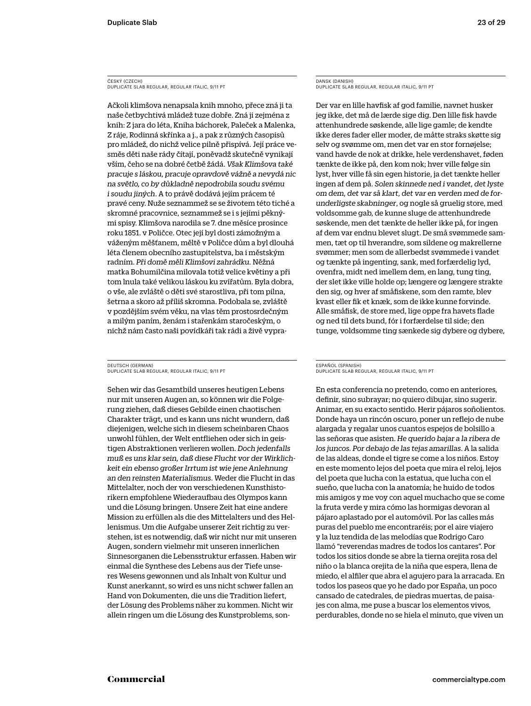### ČESKÝ (CZECH) DUPLICATE SLAB REGULAR, REGULAR ITALIC, 9/11 PT

Ačkoli klimšova nenapsala knih mnoho, přece zná ji ta naše četbychtivá mládež tuze dobře. Zná ji zejména z knih: Z jara do léta, Kniha báchorek, Paleček a Malenka, Z ráje, Rodinná skřínka a j., a pak z různých časopisů pro mládež, do nichž velice pilně přispívá. Její práce vesměs děti naše rády čítají, poněvadž skutečně vynikají vším, čeho se na dobré četbě žádá. *Však Klimšova také pracuje s láskou, pracuje opravdově vážně a nevydá nic na světlo, co by důkladně nepodrobila soudu svému i soudu jiných*. A to právě dodává jejím prácem té pravé ceny. Nuže seznammež se se životem této tiché a skromné pracovnice, seznammež se i s jejími pěknými spisy. Klimšova narodila se 7. dne měsíce prosince roku 1851. v Poličce. Otec její byl dosti zámožným a váženým měšťanem, měltě v Poličce dům a byl dlouhá léta členem obecního zastupitelstva, ba i městským radním. *Při domě měli Klimšovi zahrádku.* Něžná matka Bohumilčina milovala totiž velice květiny a při tom lnula také velikou láskou ku zvířatům. Byla dobra, o vše, ale zvláště o děti své starostliva, při tom pilna, šetrna a skoro až příliš skromna. Podobala se, zvláště v pozdějším svém věku, na vlas těm prostosrdečným a milým paním, ženám i stařenkám staročeským, o nichž nám často naši povídkáři tak rádi a živě vypra-

### DEUTSCH (GERMAN) DUPLICATE SLAB REGULAR, REGULAR ITALIC, 9/11 PT

Sehen wir das Gesamtbild unseres heutigen Lebens nur mit unseren Augen an, so können wir die Folgerung ziehen, daß dieses Gebilde einen chaotischen Charakter trägt, und es kann uns nicht wundern, daß diejenigen, welche sich in diesem scheinbaren Chaos unwohl fühlen, der Welt entfliehen oder sich in geistigen Abstraktionen verlieren wollen. *Doch jedenfalls muß es uns klar sein, daß diese Flucht vor der Wirklichkeit ein ebenso großer Irrtum ist wie jene Anlehnung an den reinsten Materialismus*. Weder die Flucht in das Mittelalter, noch der von verschiedenen Kunsthistorikern empfohlene Wiederaufbau des Olympos kann und die Lösung bringen. Unsere Zeit hat eine andere Mission zu erfüllen als die des Mittelalters und des Hellenismus. Um die Aufgabe unserer Zeit richtig zu verstehen, ist es notwendig, daß wir nicht nur mit unseren Augen, sondern vielmehr mit unseren innerlichen Sinnesorganen die Lebensstruktur erfassen. Haben wir einmal die Synthese des Lebens aus der Tiefe unseres Wesens gewonnen und als Inhalt von Kultur und Kunst anerkannt, so wird es uns nicht schwer fallen an Hand von Dokumenten, die uns die Tradition liefert, der Lösung des Problems näher zu kommen. Nicht wir allein ringen um die Lösung des Kunstproblems, son-

### DANSK (DANISH) DUPLICATE SLAB REGULAR, REGULAR ITALIC, 9/11 PT

Der var en lille havfisk af god familie, navnet husker jeg ikke, det må de lærde sige dig. Den lille fisk havde attenhundrede søskende, alle lige gamle; de kendte ikke deres fader eller moder, de måtte straks skøtte sig selv og svømme om, men det var en stor fornøjelse; vand havde de nok at drikke, hele verdenshavet, føden tænkte de ikke på, den kom nok; hver ville følge sin lyst, hver ville få sin egen historie, ja det tænkte heller ingen af dem på. *Solen skinnede ned i vandet, det lyste om dem, det var så klart, det var en verden med de forunderligste skabninger*, og nogle så gruelig store, med voldsomme gab, de kunne sluge de attenhundrede søskende, men det tænkte de heller ikke på, for ingen af dem var endnu blevet slugt. De små svømmede sammen, tæt op til hverandre, som sildene og makrellerne svømmer; men som de allerbedst svømmede i vandet og tænkte på ingenting, sank, med forfærdelig lyd, ovenfra, midt ned imellem dem, en lang, tung ting, der slet ikke ville holde op; længere og længere strakte den sig, og hver af småfiskene, som den ramte, blev kvast eller fik et knæk, som de ikke kunne forvinde. Alle småfisk, de store med, lige oppe fra havets flade og ned til dets bund, fór i forfærdelse til side; den tunge, voldsomme ting sænkede sig dybere og dybere,

### ESPAÑOL (SPANISH) DUPLICATE SLAB REGULAR, REGULAR ITALIC, 9/11 PT

En esta conferencia no pretendo, como en anteriores, definir, sino subrayar; no quiero dibujar, sino sugerir. Animar, en su exacto sentido. Herir pájaros soñolientos. Donde haya un rincón oscuro, poner un reflejo de nube alargada y regalar unos cuantos espejos de bolsillo a las señoras que asisten. *He querido bajar a la ribera de los juncos. Por debajo de las tejas amarillas*. A la salida de las aldeas, donde el tigre se come a los niños. Estoy en este momento lejos del poeta que mira el reloj, lejos del poeta que lucha con la estatua, que lucha con el sueño, que lucha con la anatomía; he huido de todos mis amigos y me voy con aquel muchacho que se come la fruta verde y mira cómo las hormigas devoran al pájaro aplastado por el automóvil. Por las calles más puras del pueblo me encontraréis; por el aire viajero y la luz tendida de las melodías que Rodrigo Caro llamó "reverendas madres de todos los cantares". Por todos los sitios donde se abre la tierna orejita rosa del niño o la blanca orejita de la niña que espera, llena de miedo, el alfiler que abra el agujero para la arracada. En todos los paseos que yo he dado por España, un poco cansado de catedrales, de piedras muertas, de paisajes con alma, me puse a buscar los elementos vivos, perdurables, donde no se hiela el minuto, que viven un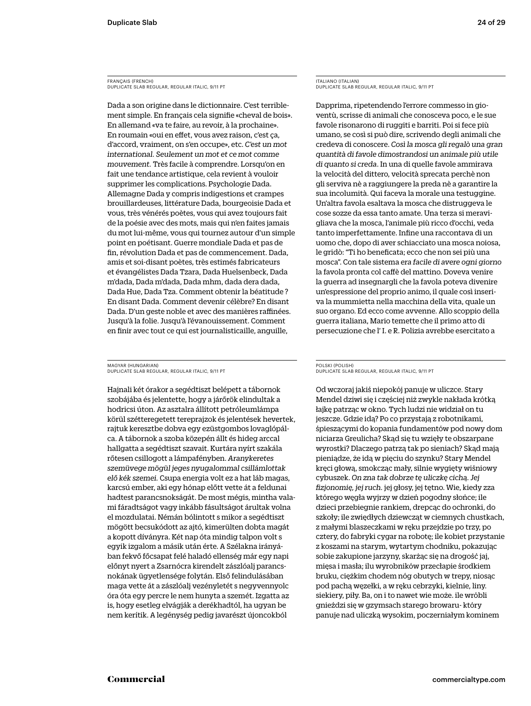FRANÇAIS (FRENCH) DUPLICATE SLAB REGULAR, REGULAR ITALIC, 9/11 PT

Dada a son origine dans le dictionnaire. C'est terriblement simple. En français cela signifie «cheval de bois». En allemand «va te faire, au revoir, à la prochaine». En roumain «oui en effet, vous avez raison, c'est ça, d'accord, vraiment, on s'en occupe», etc. *C'est un mot international. Seulement un mot et ce mot comme mouvement.* Très facile à comprendre. Lorsqu'on en fait une tendance artistique, cela revient à vouloir supprimer les complications. Psychologie Dada. Allemagne Dada y compris indigestions et crampes brouillardeuses, littérature Dada, bourgeoisie Dada et vous, très vénérés poètes, vous qui avez toujours fait de la poésie avec des mots, mais qui n'en faites jamais du mot lui-même, vous qui tournez autour d'un simple point en poétisant. Guerre mondiale Dada et pas de fin, révolution Dada et pas de commencement. Dada, amis et soi-disant poètes, très estimés fabricateurs et évangélistes Dada Tzara, Dada Huelsenbeck, Dada m'dada, Dada m'dada, Dada mhm, dada dera dada, Dada Hue, Dada Tza. Comment obtenir la béatitude ? En disant Dada. Comment devenir célèbre? En disant Dada. D'un geste noble et avec des manières raffinées. Jusqu'à la folie. Jusqu'à l'évanouissement. Comment en finir avec tout ce qui est journalisticaille, anguille,

MAGYAR (HUNGARIAN) DUPLICATE SLAB REGULAR, REGULAR ITALIC, 9/11 PT

Hajnali két órakor a segédtiszt belépett a tábornok szobájába és jelentette, hogy a járőrök elindultak a hodricsi úton. Az asztalra állított petróleumlámpa körül szétteregetett tereprajzok és jelentések hevertek, rajtuk keresztbe dobva egy ezüstgombos lovaglópálca. A tábornok a szoba közepén állt és hideg arccal hallgatta a segédtiszt szavait. Kurtára nyírt szakála rőtesen csillogott a lámpafényben. *Aranykeretes szemüvege mögül jeges nyugalommal csillámlottak elő kék szemei.* Csupa energia volt ez a hat láb magas, karcsú ember, aki egy hónap előtt vette át a feldunai hadtest parancsnokságát. De most mégis, mintha valami fáradtságot vagy inkább fásultságot árultak volna el mozdulatai. Némán bólintott s mikor a segédtiszt mögött becsukódott az ajtó, kimerülten dobta magát a kopott díványra. Két nap óta mindig talpon volt s egyik izgalom a másik után érte. A Szélakna irányában fekvő főcsapat felé haladó ellenség már egy napi előnyt nyert a Zsarnócra kirendelt zászlóalj parancsnokának ügyetlensége folytán. Első felindulásában maga vette át a zászlóalj vezényletét s negyvennyolc óra óta egy percre le nem hunyta a szemét. Izgatta az is, hogy esetleg elvágják a derékhadtól, ha ugyan be nem kerítik. A legénység pedig javarészt újoncokból

ITALIANO (ITALIAN) DUPLICATE SLAB REGULAR, REGULAR ITALIC, 9/11 PT

Dapprima, ripetendendo l'errore commesso in gioventù, scrisse di animali che conosceva poco, e le sue favole risonarono di ruggiti e barriti. Poi si fece più umano, se così si può dire, scrivendo degli animali che credeva di conoscere. *Così la mosca gli regalò una gran quantità di favole dimostrandosi un animale più utile di quanto si creda*. In una di quelle favole ammirava la velocità del dittero, velocità sprecata perchè non gli serviva nè a raggiungere la preda nè a garantire la sua incolumità. Qui faceva la morale una testuggine. Un'altra favola esaltava la mosca che distruggeva le cose sozze da essa tanto amate. Una terza si meravigliava che la mosca, l'animale più ricco d'occhi, veda tanto imperfettamente. Infine una raccontava di un uomo che, dopo di aver schiacciato una mosca noiosa, le gridò: "Ti ho beneficata; ecco che non sei più una mosca". Con tale sistema *era facile di avere ogni giorno* la favola pronta col caffè del mattino. Doveva venire la guerra ad insegnargli che la favola poteva divenire un'espressione del proprio animo, il quale così inseriva la mummietta nella macchina della vita, quale un suo organo. Ed ecco come avvenne. Allo scoppio della guerra italiana, Mario temette che il primo atto di persecuzione che l' I. e R. Polizia avrebbe esercitato a

### POLSKI (POLISH) DUPLICATE SLAB REGULAR, REGULAR ITALIC, 9/11 PT

Od wczoraj jakiś niepokój panuje w uliczce. Stary Mendel dziwi się i częściej niż zwykle nakłada krótką łajkę patrząc w okno. Tych ludzi nie widział on tu jeszcze. Gdzie idą? Po co przystają z robotnikami, śpieszącymi do kopania fundamentów pod nowy dom niciarza Greulicha? Skąd się tu wzięły te obszarpane wyrostki? Dlaczego patrzą tak po sieniach? Skąd mają pieniądze, że idą w pięciu do szynku? Stary Mendel kręci głową, smokcząc mały, silnie wygięty wiśniowy cybuszek. *On zna tak dobrze tę uliczkę cichą. Jej fizjonomię, jej ruch.* jej głosy, jej tętno. Wie, kiedy zza którego węgła wyjrzy w dzień pogodny słońce; ile dzieci przebiegnie rankiem, drepcąc do ochronki, do szkoły; ile zwiędłych dziewcząt w ciemnych chustkach, z małymi blaszeczkami w ręku przejdzie po trzy, po cztery, do fabryki cygar na robotę; ile kobiet przystanie z koszami na starym, wytartym chodniku, pokazując sobie zakupione jarzyny, skarżąc się na drogość jaj, mięsa i masła; ilu wyrobników przecłapie środkiem bruku, ciężkim chodem nóg obutych w trepy, niosąc pod pachą węzełki, a w ręku cebrzyki, kielnie, liny. siekiery, piły. Ba, on i to nawet wie może. ile wróbli gnieździ się w gzymsach starego browaru- który panuje nad uliczką wysokim, poczerniałym kominem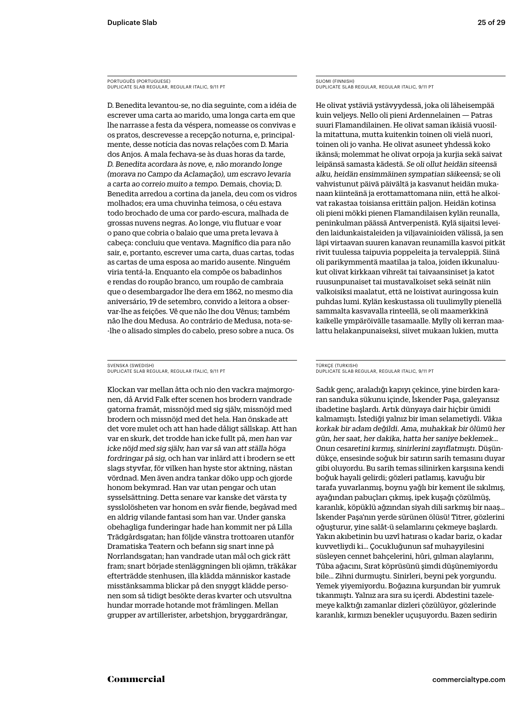PORTUGUÊS (PORTUGUESE) DUPLICATE SLAB REGULAR, REGULAR ITALIC, 9/11 PT

D. Benedita levantou-se, no dia seguinte, com a idéia de escrever uma carta ao marido, uma longa carta em que lhe narrasse a festa da véspera, nomeasse os convivas e os pratos, descrevesse a recepção noturna, e, principalmente, desse notícia das novas relações com D. Maria dos Anjos. A mala fechava-se às duas horas da tarde, *D. Benedita acordara às nove, e, não morando longe (morava no Campo da Aclamação), um escravo levaria a carta ao correio muito a tempo.* Demais, chovia; D. Benedita arredou a cortina da janela, deu com os vidros molhados; era uma chuvinha teimosa, o céu estava todo brochado de uma cor pardo-escura, malhada de grossas nuvens negras. Ao longe, viu flutuar e voar o pano que cobria o balaio que uma preta levava à cabeça: concluiu que ventava. Magnífico dia para não sair, e, portanto, escrever uma carta, duas cartas, todas as cartas de uma esposa ao marido ausente. Ninguém viria tentá-la. Enquanto ela compõe os babadinhos e rendas do roupão branco, um roupão de cambraia que o desembargador lhe dera em 1862, no mesmo dia aniversário, 19 de setembro, convido a leitora a observar-lhe as feições. Vê que não lhe dou Vênus; também não lhe dou Medusa. Ao contrário de Medusa, nota-se- -lhe o alisado simples do cabelo, preso sobre a nuca. Os

### SVENSKA (SWEDISH) DUPLICATE SLAB REGULAR, REGULAR ITALIC, 9/11 PT

Klockan var mellan åtta och nio den vackra majmorgonen, då Arvid Falk efter scenen hos brodern vandrade gatorna framåt, missnöjd med sig själv, missnöjd med brodern och missnöjd med det hela. Han önskade att det vore mulet och att han hade dåligt sällskap. Att han var en skurk, det trodde han icke fullt på, *men han var icke nöjd med sig själv, han var så van att ställa höga fordringar på sig,* och han var inlärd att i brodern se ett slags styvfar, för vilken han hyste stor aktning, nästan vördnad. Men även andra tankar döko upp och gjorde honom bekymrad. Han var utan pengar och utan sysselsättning. Detta senare var kanske det värsta ty sysslolösheten var honom en svår fiende, begåvad med en aldrig vilande fantasi som han var. Under ganska obehagliga funderingar hade han kommit ner på Lilla Trädgårdsgatan; han följde vänstra trottoaren utanför Dramatiska Teatern och befann sig snart inne på Norrlandsgatan; han vandrade utan mål och gick rätt fram; snart började stenläggningen bli ojämn, träkåkar efterträdde stenhusen, illa klädda människor kastade misstänksamma blickar på den snyggt klädde personen som så tidigt besökte deras kvarter och utsvultna hundar morrade hotande mot främlingen. Mellan grupper av artillerister, arbetshjon, bryggardrängar,

SUOMI (FINNISH) DUPLICATE SLAB REGULAR, REGULAR ITALIC, 9/11 PT

He olivat ystäviä ystävyydessä, joka oli läheisempää kuin veljeys. Nello oli pieni Ardennelainen — Patras suuri Flamandilainen. He olivat saman ikäisiä vuosilla mitattuna, mutta kuitenkin toinen oli vielä nuori, toinen oli jo vanha. He olivat asuneet yhdessä koko ikänsä; molemmat he olivat orpoja ja kurjia sekä saivat leipänsä samasta kädestä. *Se oli ollut heidän siteensä alku, heidän ensimmäinen sympatian säikeensä;* se oli vahvistunut päivä päivältä ja kasvanut heidän mukanaan kiinteänä ja erottamattomana niin, että he alkoivat rakastaa toisiansa erittäin paljon. Heidän kotinsa oli pieni mökki pienen Flamandilaisen kylän reunalla, peninkulman päässä Antverpenistä. Kylä sijaitsi leveiden laidunkaistaleiden ja viljavainioiden välissä, ja sen läpi virtaavan suuren kanavan reunamilla kasvoi pitkät rivit tuulessa taipuvia poppeleita ja tervaleppiä. Siinä oli parikymmentä maatilaa ja taloa, joiden ikkunaluukut olivat kirkkaan vihreät tai taivaansiniset ja katot ruusunpunaiset tai mustavalkoiset sekä seinät niin valkoisiksi maalatut, että ne loistivat auringossa kuin puhdas lumi. Kylän keskustassa oli tuulimylly pienellä sammalta kasvavalla rinteellä, se oli maamerkkinä kaikelle ympäröivälle tasamaalle. Mylly oli kerran maalattu helakanpunaiseksi, siivet mukaan lukien, mutta

### TÜRKÇE (TURKISH) DUPLICATE SLAB REGULAR, REGULAR ITALIC, 9/11 PT

Sadık genç, araladığı kapıyı çekince, yine birden kararan sanduka sükunu içinde, İskender Paşa, galeyansız ibadetine başlardı. Artık dünyaya dair hiçbir ümidi kalmamıştı. İstediği yalnız bir iman selametiydi. *Vâkıa korkak bir adam değildi. Ama, muhakkak bir ölümü her gün, her saat, her dakika, hatta her saniye beklemek… Onun cesaretini kırmış, sinirlerini zayıflatmıştı.* Düşündükçe, ensesinde soğuk bir satırın sarih temasını duyar gibi oluyordu. Bu sarih temas silinirken karşısına kendi boğuk hayali gelirdi; gözleri patlamış, kavuğu bir tarafa yuvarlanmış, boynu yağlı bir kement ile sıkılmış, ayağından pabuçları çıkmış, ipek kuşağı çözülmüş, karanlık, köpüklü ağzından siyah dili sarkmış bir naaş… İskender Paşa'nın yerde sürünen ölüsü! Titrer, gözlerini oğuşturur, yine salât-ü selamlarını çekmeye başlardı. Yakın akıbetinin bu uzvî hatırası o kadar bariz, o kadar kuvvetliydi ki… Çocukluğunun saf muhayyilesini süsleyen cennet bahçelerini, hûri, gılman alaylarını, Tûba ağacını, Sırat köprüsünü şimdi düşünemiyordu bile… Zihni durmuştu. Sinirleri, beyni pek yorgundu. Yemek yiyemiyordu. Boğazına kurşundan bir yumruk tıkanmıştı. Yalnız ara sıra su içerdi. Abdestini tazelemeye kalktığı zamanlar dizleri çözülüyor, gözlerinde karanlık, kırmızı benekler uçuşuyordu. Bazen sedirin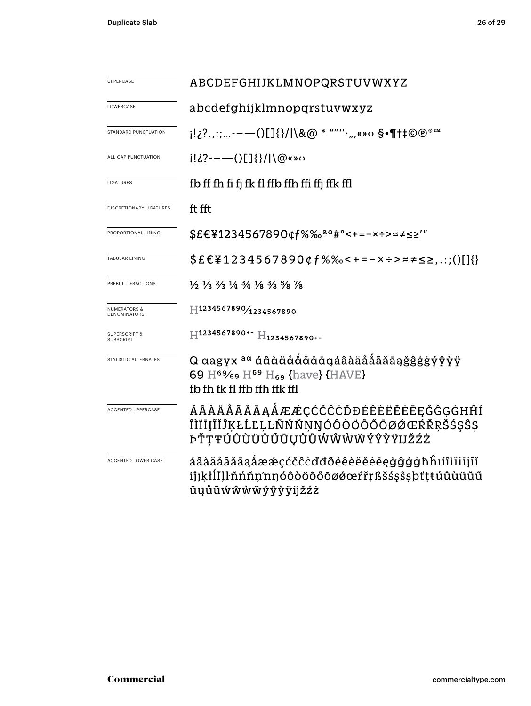| <b>UPPERCASE</b>                             | ABCDEFGHIJKLMNOPQRSTUVWXYZ                                                                                                                               |  |  |  |  |
|----------------------------------------------|----------------------------------------------------------------------------------------------------------------------------------------------------------|--|--|--|--|
| LOWERCASE                                    | abcdefghijklmnopqrstuvwxyz                                                                                                                               |  |  |  |  |
| STANDARD PUNCTUATION                         | i!¿?.,:;-——()[]{}/ \&@ * ""''·",«»↔ §•¶†‡©®®™                                                                                                            |  |  |  |  |
| ALL CAP PUNCTUATION                          | $i!i$ ?---()[]{}/ \@«»0                                                                                                                                  |  |  |  |  |
| LIGATURES                                    | fb ff fh fi fj fk fl ffb ffh ffi ffj ffk ffl                                                                                                             |  |  |  |  |
| <b>DISCRETIONARY LIGATURES</b>               | ft fft                                                                                                                                                   |  |  |  |  |
| PROPORTIONAL LINING                          | \$£€¥1234567890¢f%‰ <sup>ao</sup> #°<+=-×÷>≈≠≤≥'"                                                                                                        |  |  |  |  |
| <b>TABULAR LINING</b>                        | $$E \in \{1234567890 \notin f\% \text{%} < + = - \times \div \approx \neq \leq \geq, \ldots\}$                                                           |  |  |  |  |
| PREBUILT FRACTIONS                           | $\frac{1}{2}$ $\frac{1}{3}$ $\frac{2}{3}$ $\frac{1}{4}$ $\frac{3}{4}$ $\frac{1}{8}$ $\frac{3}{8}$ $\frac{5}{8}$ $\frac{7}{8}$                            |  |  |  |  |
| NUMERATORS &<br>DENOMINATORS                 | $H^{1234567890/1234567890}$                                                                                                                              |  |  |  |  |
| <b>SUPERSCRIPT &amp;</b><br><b>SUBSCRIPT</b> | $\rm{H}^{1234567890^{+-}\,H_{1234567890^{+-}}}$                                                                                                          |  |  |  |  |
| STYLISTIC ALTERNATES                         | Q aagyx <sup>aa</sup> áâàäååãāqáâàäåååãāąğĝģģýŷỳÿ<br>69 H <sup>69</sup> /69 H <sup>69</sup> H <sub>69</sub> {have} {HAVE}<br>fb fh fk fl ffb ffh ffk ffl |  |  |  |  |
| <b>ACCENTED UPPERCASE</b>                    | ÁÂAÄÅÃĂĀAĄÅÆÆÇĆČĈĊĎĐÉÊÈËĖĒĘĞĜĢĠĦĤÍ<br>ÎÌĬĪĮĨĬĴĶŁĹĽĻĿÑŃŇŅŊÓÔÒÖŐŐŌØØŒŔŘŖŠŚŞŜŞ<br>ÞŤŢŦÚÛÙÜŬŰŨŲŮŨŴŴŴŴÝŶŸIJŽŹŻ                                                |  |  |  |  |
| ACCENTED LOWER CASE                          | áâàäåããāąåææçćčĉċďđðéêèëĕēeġĝġġħĥıíîìïiiįĩĭ<br>iî」kłĺIll·ñńňn'nŋóôòöõőōøøœŕřŗßšśşŝşþťţŧúûùüŭű<br>ūųůũẃŵẁẅýŷỳÿijžźż                                       |  |  |  |  |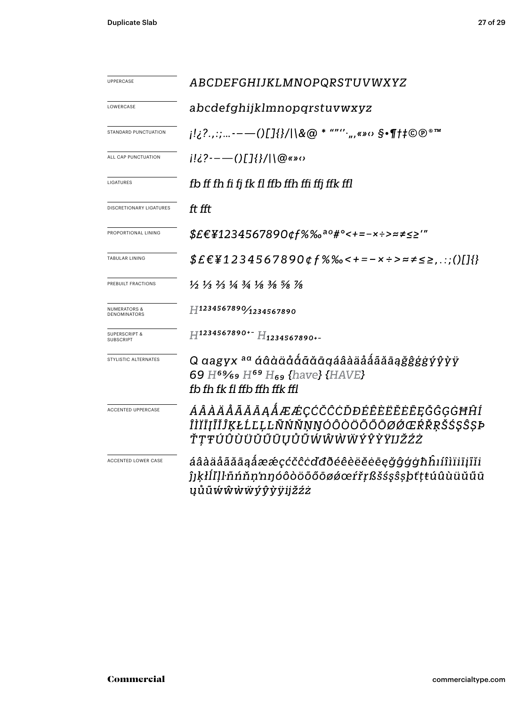| UPPERCASE                               | ABCDEFGHIJKLMNOPQRSTUVWXYZ                                                                                                                                            |  |  |  |  |
|-----------------------------------------|-----------------------------------------------------------------------------------------------------------------------------------------------------------------------|--|--|--|--|
|                                         |                                                                                                                                                                       |  |  |  |  |
| LOWERCASE                               | abcdefghijklmnopqrstuvwxyz                                                                                                                                            |  |  |  |  |
| STANDARD PUNCTUATION                    | j!¿?.,:;-—()[]{}/ \&@ * ""''·",«»‹› §•¶†‡©®®™                                                                                                                         |  |  |  |  |
| ALL CAP PUNCTUATION                     | $i!i$ ?---()[]{}/ \@«»o                                                                                                                                               |  |  |  |  |
| LIGATURES                               | fb ff fh fi fj fk fl ffb ffh ffi ffj ffk ffl                                                                                                                          |  |  |  |  |
| DISCRETIONARY LIGATURES                 | ft fft                                                                                                                                                                |  |  |  |  |
| PROPORTIONAL LINING                     | \$£€¥1234567890¢f%‰ <sup>ao</sup> #°<+=-×÷>≈≠≤≥'"                                                                                                                     |  |  |  |  |
| TABULAR LINING                          | $$E \in \{1234567890 \notin f\% \text{%} 500 \times f\} \text{ and } \{1\}$                                                                                           |  |  |  |  |
| PREBUILT FRACTIONS                      | $\frac{1}{2}$ $\frac{1}{3}$ $\frac{2}{3}$ $\frac{1}{4}$ $\frac{3}{4}$ $\frac{1}{8}$ $\frac{3}{8}$ $\frac{5}{8}$ $\frac{7}{8}$                                         |  |  |  |  |
| <b>NUMERATORS &amp;</b><br>DENOMINATORS | H1234567890/1234567890                                                                                                                                                |  |  |  |  |
| <b>SUPERSCRIPT &amp;</b><br>SUBSCRIPT   | H1234567890+- H1234567890+-                                                                                                                                           |  |  |  |  |
| STYLISTIC ALTERNATES                    | Q aagyx <sup>aa</sup> áâàäååãăāaäåååãããāaġĝģģģýŷỳÿ<br>69 H <sup>69</sup> / <sub>69</sub> H <sup>69</sup> H <sub>69</sub> {have} {HAVE}<br>fb fh fk fl ffb ffh ffk ffl |  |  |  |  |
| ACCENTED UPPERCASE                      | ÁÂÀÄÅÃĂĀĄÅÆÆÇĆČĈĊĎĐÉÊÈËËĖĒĘĞĜĢĠĦĤÍ<br>ÎÌĬĪĮĨĬĴĶŁĹĽĻĿÑŃŇŅŊÓÔÒÖŐŐŌØØŒŔŘŖŠŚŞŜȘÞ<br>ŤŢŦÚÛÙÜŬŰŨŲŮŨŴŴŴŴÝŶŶŸIJŽŹŻ                                                            |  |  |  |  |
| ACCENTED LOWER CASE                     | áâàäåããāąåææçćčĉċďđðéêèëĕēęğĝģġħĥıíîìïiīįĩĭi<br>ĵjkłĺľlŀñńňn'nŋóôòöőőōøǿœŕřŗßšśşŝşþťţŧúûùüŭűū<br>ŲŮŨŴŴŴŴýŷỳÿijŽŹŻ                                                     |  |  |  |  |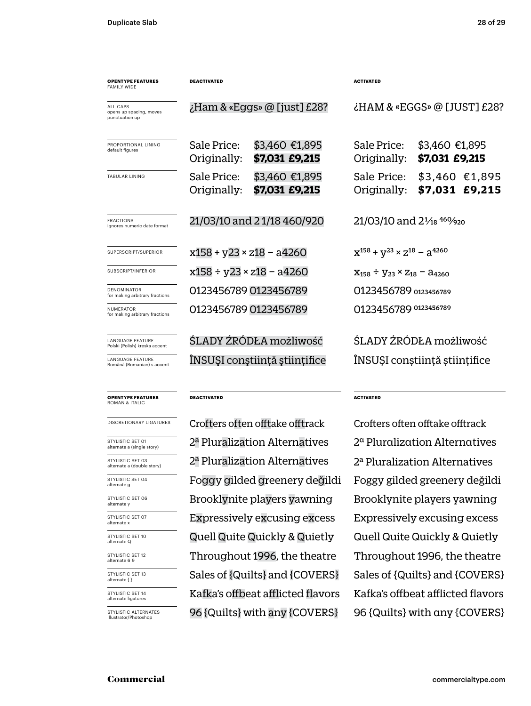| <b>OPENTYPE FEATURES</b><br><b>FAMILY WIDE</b>        | <b>DEACTIVATED</b>                 |                                  | <b>ACTIVATED</b>                                   |                                   |  |
|-------------------------------------------------------|------------------------------------|----------------------------------|----------------------------------------------------|-----------------------------------|--|
| ALL CAPS<br>opens up spacing, moves<br>punctuation up | $\chi$ Ham & «Eggs» @ [just] £28?  |                                  | ¿HAM & «EGGS» @ [JUST] £28?                        |                                   |  |
| PROPORTIONAL LINING<br>default figures                | Sale Price:<br>Originally:         | \$3,460 €1,895<br>\$7,031 £9,215 | Sale Price:<br>Originally:                         | \$3,460 €1,895<br>\$7,031 £9,215  |  |
| TABULAR LINING                                        | Sale Price:<br>Originally:         | \$3,460 €1,895<br>\$7,031 £9,215 | Sale Price:<br>Originally:                         | $$3,460$ €1,895<br>\$7,031 £9,215 |  |
| <b>FRACTIONS</b><br>ignores numeric date format       | 21/03/10 and 21/18 460/920         |                                  | 21/03/10 and 21/ <sub>18</sub> 460/ <sub>920</sub> |                                   |  |
| SUPERSCRIPT/SUPERIOR                                  | $x158 + y23 \times z18 - a4260$    |                                  | $X^{158} + V^{23} \times Z^{18} - 3^{4260}$        |                                   |  |
| SUBSCRIPT/INFERIOR                                    | $x158 \div y23 \times z18 - a4260$ |                                  | $X_{158} \div Y_{23} \times Z_{18} - A_{4260}$     |                                   |  |
| <b>DENOMINATOR</b><br>for making arbitrary fractions  | 0123456789 0123456789              |                                  | 0123456789 0123456789                              |                                   |  |
| NUMERATOR<br>for making arbitrary fractions           |                                    | 0123456789 0123456789            | 0123456789 0123456789                              |                                   |  |
| LANGUAGE FEATURE<br>Polski (Polish) kreska accent     | ŚLADY ŹRÓDŁA możliwość             |                                  | ŚLADY ŻRÓDŁA możliwość                             |                                   |  |
| LANGUAGE FEATURE<br>Română (Romanian) s accent        |                                    | ÎNSUȘI conștiință științifice    | ÎNSUȘI conștiință științifice                      |                                   |  |
|                                                       |                                    |                                  |                                                    |                                   |  |

### **OPENTYPE FEATURES** ROMAN & ITALIC

STYLISTIC SET 01 alternate a (single story)

STYLISTIC SET 03 alternate a (double story)

STYLISTIC SET 04 alternate g

STYLISTIC SET 07 alternate x

STYLISTIC SET 06 alternate y

STYLISTIC SET 10 alternate Q

**DEACTIVATED**

2ª Pluralization Alternatives Foggy gilded greenery değildi Throughout 1996, the theatre 2ª Pluralization Alternatives Quell Quite Quickly & Quietly Brooklynite players yawning Sales of {Quilts} and {COVERS} DISCRETIONARY LIGATURES Crofters often offtake offtrack Crofters often offtake offtrack Kafka's offbeat afflicted flavors 96 {Quilts} with any {COVERS}

**ACTIVATED**

2ª Pluralization Alternatives Foggy gilded greenery değildi Throughout 1996, the theatre 2ª Pluralization Alternatives Quell Quite Quickly & Quietly Brooklynite players yawning Sales of {Quilts} and {COVERS} Kafka's offbeat afflicted flavors 96 {Quilts} with any {COVERS} Expressively excusing excess Expressively excusing excess

STYLISTIC SET 12 alternate 6 9 STYLISTIC SET 13 alternate { } STYLISTIC SET 14 alternate ligatures STYLISTIC ALTERNATES Illustrator/Photoshop